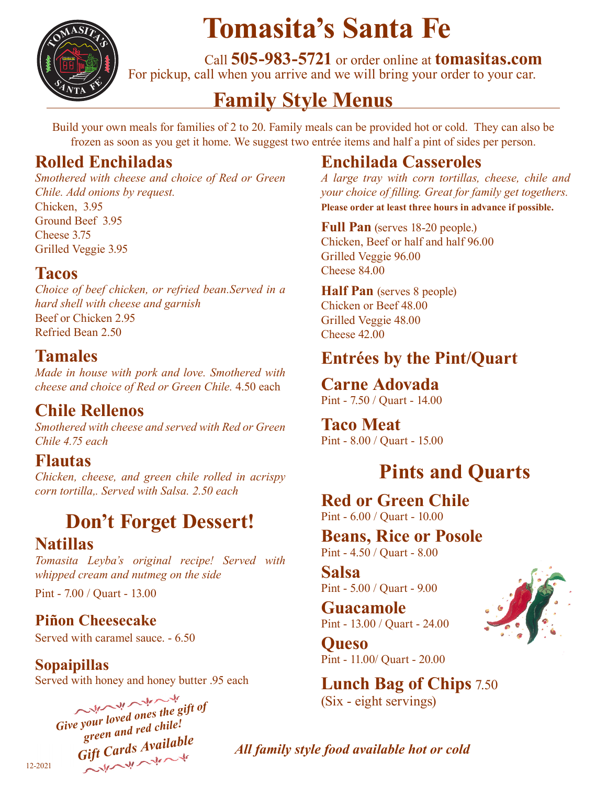

# **Tomasita's Santa Fe**

 Call **505-983-5721** or order online at **tomasitas.com** For pickup, call when you arrive and we will bring your order to your car.

## **Family Style Menus**

Build your own meals for families of 2 to 20. Family meals can be provided hot or cold. They can also be frozen as soon as you get it home. We suggest two entrée items and half a pint of sides per person.

#### **Rolled Enchiladas**

*Smothered with cheese and choice of Red or Green Chile. Add onions by request.* Chicken, 3.95 Ground Beef 3.95 Cheese 3.75 Grilled Veggie 3.95

#### **Tacos**

*Choice of beef chicken, or refried bean.Served in a hard shell with cheese and garnish* Beef or Chicken 2.95 Refried Bean 2.50

### **Tamales**

*Made in house with pork and love. Smothered with cheese and choice of Red or Green Chile.* 4.50 each

## **Chile Rellenos**

*Smothered with cheese and served with Red or Green Chile 4.75 each*

#### **Flautas**

*Chicken, cheese, and green chile rolled in acrispy corn tortilla,. Served with Salsa. 2.50 each*

## **Don't Forget Dessert!**

#### **Natillas**

*Tomasita Leyba's original recipe! Served with whipped cream and nutmeg on the side*

Pint - 7.00 / Quart - 13.00

#### **Piñon Cheesecake**

Served with caramel sauce. - 6.50

**Sopaipillas** Served with honey and honey butter .95 each

# Give your loved ones the gift of *green and red chile!* Gift Cards Available

## **Enchilada Casseroles**

*A large tray with corn tortillas, cheese, chile and your choice of filling. Great for family get togethers.* **Please order at least three hours in advance if possible.**

**Full Pan** (serves 18-20 people.)

Chicken, Beef or half and half 96.00 Grilled Veggie 96.00 Cheese 84.00

**Half Pan** (serves 8 people) Chicken or Beef 48.00 Grilled Veggie 48.00 Cheese 42.00

### **Entrées by the Pint/Quart**

**Carne Adovada** Pint - 7.50 / Quart - 14.00

**Taco Meat** Pint - 8.00 / Quart - 15.00

## **Pints and Quarts**

**Red or Green Chile** Pint - 6.00 / Quart - 10.00

**Beans, Rice or Posole** Pint - 4.50 / Quart - 8.00

**Salsa** Pint - 5.00 / Quart - 9.00

**Guacamole** Pint - 13.00 / Quart - 24.00

**Queso** Pint - 11.00/ Quart - 20.00

**Lunch Bag of Chips** 7.50 (Six - eight servings)



*All family style food available hot or cold*